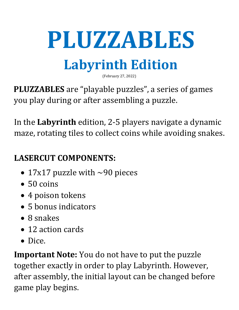

(February 27, 2022)

**PLUZZABLES** are "playable puzzles", a series of games you play during or after assembling a puzzle.

In the **Labyrinth** edition, 2-5 players navigate a dynamic maze, rotating tiles to collect coins while avoiding snakes.

## **LASERCUT COMPONENTS:**

- 17x17 puzzle with  $\sim$ 90 pieces
- 50 coins
- 4 poison tokens
- 5 bonus indicators
- 8 snakes
- 12 action cards
- Dice.

**Important Note:** You do not have to put the puzzle together exactly in order to play Labyrinth. However, after assembly, the initial layout can be changed before game play begins.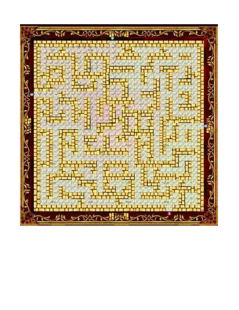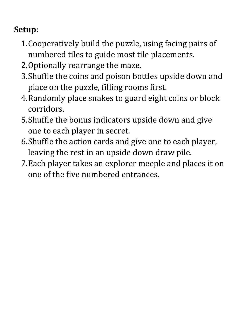## **Setup**:

- 1.Cooperatively build the puzzle, using facing pairs of numbered tiles to guide most tile placements.
- 2.Optionally rearrange the maze.
- 3.Shuffle the coins and poison bottles upside down and place on the puzzle, filling rooms first.
- 4.Randomly place snakes to guard eight coins or block corridors.
- 5.Shuffle the bonus indicators upside down and give one to each player in secret.
- 6.Shuffle the action cards and give one to each player, leaving the rest in an upside down draw pile.
- 7.Each player takes an explorer meeple and places it on one of the five numbered entrances.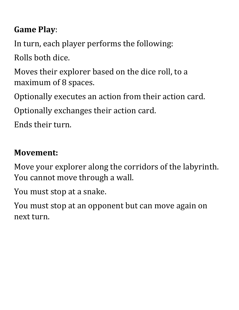## **Game Play**:

In turn, each player performs the following:

Rolls both dice.

Moves their explorer based on the dice roll, to a maximum of 8 spaces.

Optionally executes an action from their action card.

Optionally exchanges their action card.

Ends their turn.

#### **Movement:**

Move your explorer along the corridors of the labyrinth. You cannot move through a wall.

You must stop at a snake.

You must stop at an opponent but can move again on next turn.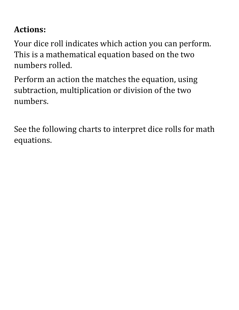## **Actions:**

Your dice roll indicates which action you can perform. This is a mathematical equation based on the two numbers rolled.

Perform an action the matches the equation, using subtraction, multiplication or division of the two numbers.

See the following charts to interpret dice rolls for math equations.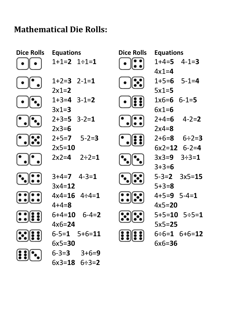#### **Mathematical Die Rolls:**

**Dice Rolls Equations**  $1+1=2$   $1 \div 1=1$ 1+2=**3** 2-1=**1** 2x1=**2** 1+3=**4** 3-1=**2** 3x1=**3** 2+3=**5** 3-2=**1** 2x3=**6** 2+5=**7** 5-2=**3** '. ¦¦: 2x5=**10**  $2x2=4$   $2 \div 2=1$ 3+4=**7** 4-3=**1**  $\| \cdot \|$  : : 3x4=**12** 4x4=**16** 4÷4=**1**  $\left[ \begin{smallmatrix} \bullet & \bullet \\ \bullet & \bullet \end{smallmatrix} \right] \hspace{-1mm} \left[ \begin{smallmatrix} \bullet & \bullet \\ \bullet & \bullet \end{smallmatrix} \right]$ 4+4=**8**  $\left[ \begin{array}{c} \cdot \end{array} \right]$  : : 6+4=**10** 6-4=**2** 4x6=**24**  $[:]$   $[:]$ 6-5=**1** 5+6=**11** 6x5=**30** 6-3=**3** 3+6=**9**  $\|\mathbf{S}\|\mathbf{S}\|$ 6x3=**18** 6÷3=**2**

| $\lceil \cdot \rceil$ ::                                              |
|-----------------------------------------------------------------------|
| $\left[\,\boldsymbol{\cdot}\,\right]$ ::                              |
| $\left(\ \boldsymbol{\cdot}\right)$ $\left(\boldsymbol{\cdot}\right)$ |
| $\left[\cdot,\right]$ ::                                              |
| $\lceil \cdot \rceil$ :                                               |
| $\lceil \cdot \rceil$                                                 |
| $\left[\bullet\right]\left[\bullet\right]$                            |
| $\left[ \begin{array}{c} \cdot \end{array} \right]$                   |
| $\left[ \textcolor{blue}{\mathbf{3.5}} \right]$                       |
| $ :$ $ :$ $ :$                                                        |

| <b>Equations</b>    |                              |  |
|---------------------|------------------------------|--|
| $1+4=5$ 4-1=3       |                              |  |
| $4x1=4$             |                              |  |
| 1+5=6               | $5 - 1 = 4$                  |  |
| $5x1=5$             |                              |  |
| $1x6=6$ 6-1=5       |                              |  |
| $6x1=6$             |                              |  |
| 2+4=6               | $4 - 2 = 2$                  |  |
| $2x4=8$             |                              |  |
| $2+6=8$             | $6 \div 2 = 3$               |  |
| $6x2 = 12$          | $6 - 2 = 4$                  |  |
| $3x3=9$ $3\div 3=1$ |                              |  |
| $3 + 3 = 6$         |                              |  |
| $5 - 3 = 2$         | $3x5 = 15$                   |  |
| $5 + 3 = 8$         |                              |  |
| $4+5=9$ 5-4=1       |                              |  |
| $4x5 = 20$          |                              |  |
|                     | $5+5=10$ $5 \div 5=1$        |  |
| $5x5=25$            |                              |  |
|                     | 6÷6= <b>1</b> 6+6= <b>12</b> |  |
| 6x6= <b>36</b>      |                              |  |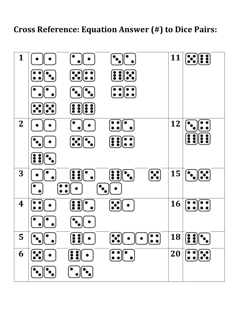**Cross Reference: Equation Answer (#) to Dice Pairs:**

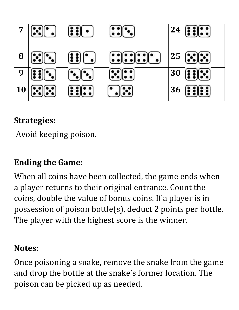

## **Strategies:**

Avoid keeping poison.

## **Ending the Game:**

When all coins have been collected, the game ends when a player returns to their original entrance. Count the coins, double the value of bonus coins. If a player is in possession of poison bottle(s), deduct 2 points per bottle. The player with the highest score is the winner.

#### **Notes:**

Once poisoning a snake, remove the snake from the game and drop the bottle at the snake's former location. The poison can be picked up as needed.